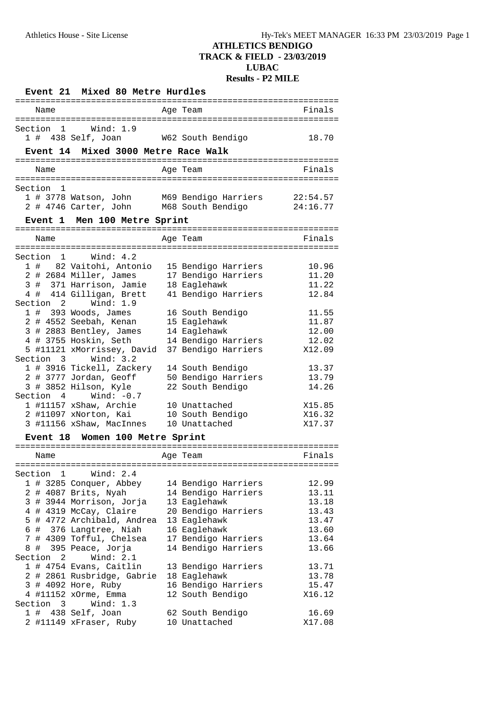|              | Event 21 Mixed 80 Metre Hurdles                                                                    |                                                                                       |                      |
|--------------|----------------------------------------------------------------------------------------------------|---------------------------------------------------------------------------------------|----------------------|
| Name         |                                                                                                    | Age Team                                                                              | Finals               |
|              | Section 1 Wind: 1.9<br>1 # 438 Self, Joan W62 South Bendigo<br>Event 14 Mixed 3000 Metre Race Walk |                                                                                       | 18.70                |
| Name         |                                                                                                    | Age Team                                                                              | Finals               |
|              |                                                                                                    |                                                                                       |                      |
| Section 1    |                                                                                                    | 1 # 3778 Watson, John M69 Bendigo Harriers<br>2 # 4746 Carter, John M68 South Bendigo | 22:54.57<br>24:16.77 |
|              | Event 1 Men 100 Metre Sprint                                                                       |                                                                                       |                      |
| Name         |                                                                                                    | Age Team                                                                              | Finals               |
|              | Section 1 Wind: 4.2                                                                                |                                                                                       |                      |
|              | 1 # 82 Vaitohi, Antonio                                                                            | 15 Bendigo Harriers                                                                   | 10.96                |
|              | 2 # 2684 Miller, James                                                                             | 17 Bendigo Harriers                                                                   | 11.20                |
|              | 3 # 371 Harrison, Jamie                                                                            | 18 Eaglehawk                                                                          | 11.22                |
|              | 4 # 414 Gilligan, Brett<br>Section 2 Wind: 1.9                                                     | 41 Bendigo Harriers                                                                   | 12.84                |
|              | $1$ # 393 Woods, James                                                                             | 16 South Bendigo                                                                      | 11.55                |
|              | 2 # 4552 Seebah, Kenan                                                                             | 15 Eaglehawk                                                                          | 11.87                |
|              | 3 # 2883 Bentley, James                                                                            | 14 Eaglehawk                                                                          | 12.00                |
|              | 4 # 3755 Hoskin, Seth                                                                              | 14 Bendigo Harriers                                                                   | 12.02                |
|              | 5 #11121 xMorrissey, David                                                                         | 37 Bendigo Harriers                                                                   | X12.09               |
|              | Section 3 Wind: 3.2                                                                                |                                                                                       |                      |
|              | 1 # 3916 Tickell, Zackery                                                                          | 14 South Bendigo                                                                      | 13.37                |
|              | 2 # 3777 Jordan, Geoff                                                                             | 50 Bendigo Harriers                                                                   | 13.79                |
|              | 3 # 3852 Hilson, Kyle<br>Section $4$ Wind: $-0.7$                                                  | 22 South Bendigo                                                                      | 14.26                |
|              | 1 #11157 xShaw, Archie 10 Unattached                                                               |                                                                                       | X15.85               |
|              | 2 #11097 xNorton, Kai 10 South Bendigo                                                             |                                                                                       | X16.32               |
|              | 3 #11156 xShaw, MacInnes                                                                           | 10 Unattached                                                                         | X17.37               |
| Event 18     | Women 100 Metre Sprint                                                                             |                                                                                       |                      |
|              |                                                                                                    |                                                                                       |                      |
| Name         |                                                                                                    | Age Team                                                                              | Finals               |
| Section 1    | Wind: $2.4$                                                                                        |                                                                                       |                      |
|              | 1 # 3285 Conquer, Abbey                                                                            | 14 Bendigo Harriers                                                                   | 12.99                |
|              | 2 # 4087 Brits, Nyah                                                                               | 14 Bendigo Harriers                                                                   | 13.11                |
|              | 3 # 3944 Morrison, Jorja                                                                           | 13 Eaglehawk                                                                          | 13.18                |
|              | 4 # 4319 McCay, Claire                                                                             | 20 Bendigo Harriers                                                                   | 13.43                |
|              | 5 # 4772 Archibald, Andrea                                                                         | 13 Eaglehawk                                                                          | 13.47                |
|              | 6 # 376 Langtree, Niah                                                                             | 16 Eaglehawk                                                                          | 13.60                |
|              | 7 # 4309 Tofful, Chelsea                                                                           | 17 Bendigo Harriers                                                                   | 13.64                |
|              | 8 # 395 Peace, Jorja                                                                               | 14 Bendigo Harriers                                                                   | 13.66                |
| Section      | $2 \quad$<br>Wind: $2.1$                                                                           |                                                                                       |                      |
|              | 1 # 4754 Evans, Caitlin<br>2 # 2861 Rusbridge, Gabrie                                              | 13 Bendigo Harriers<br>18 Eaglehawk                                                   | 13.71<br>13.78       |
|              | 3 # 4092 Hore, Ruby                                                                                | 16 Bendigo Harriers                                                                   | 15.47                |
|              | 4 #11152 xOrme, Emma                                                                               | 12 South Bendigo                                                                      | X16.12               |
| Section<br>3 | Wind: $1.3$                                                                                        |                                                                                       |                      |
|              | $1$ # 438 Self, Joan                                                                               | 62 South Bendigo                                                                      | 16.69                |
|              | 2 #11149 xFraser, Ruby                                                                             | 10 Unattached                                                                         | X17.08               |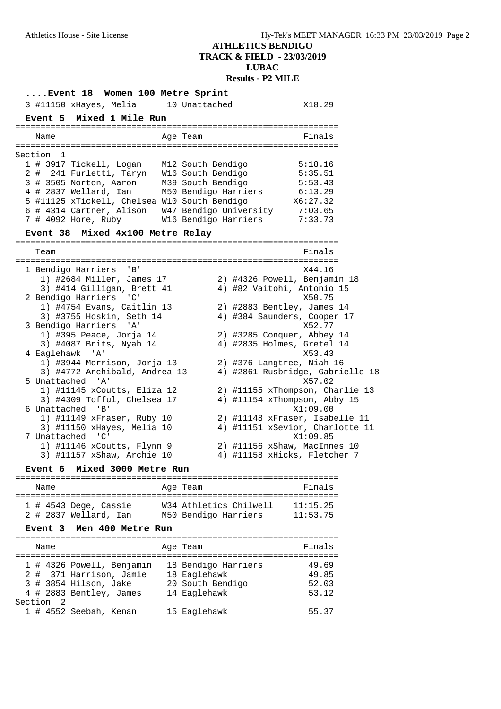| Event 18 Women 100 Metre Sprint                                                       |                                 |                                                            |
|---------------------------------------------------------------------------------------|---------------------------------|------------------------------------------------------------|
| 3 #11150 xHayes, Melia 10 Unattached                                                  |                                 | X18.29                                                     |
| Event 5 Mixed 1 Mile Run                                                              |                                 |                                                            |
| Name                                                                                  | Age Team                        | Finals                                                     |
| Section 1<br>1 # 3917 Tickell, Logan                                                  | M12 South Bendigo               | 5:18.16                                                    |
| 2 # 241 Furletti, Taryn W16 South Bendigo<br>3 # 3505 Norton, Aaron M39 South Bendigo |                                 | 5:35.51<br>5:53.43                                         |
| 4 # 2837 Wellard, Ian M50 Bendigo Harriers                                            |                                 | 6:13.29                                                    |
| 5 #11125 xTickell, Chelsea W10 South Bendigo                                          |                                 | X6:27.32                                                   |
| 6 # 4314 Cartner, Alison W47 Bendigo University 7:03.65                               |                                 |                                                            |
| 7 # 4092 Hore, Ruby                                                                   | W16 Bendigo Harriers            | 7:33.73                                                    |
| Event 38 Mixed 4x100 Metre Relay                                                      |                                 |                                                            |
| Team                                                                                  |                                 | Finals                                                     |
| 1 Bendigo Harriers<br>$\mathsf{B}$                                                    |                                 | X44.16                                                     |
| 1) #2684 Miller, James 17<br>3) #414 Gilligan, Brett 41                               |                                 | 2) #4326 Powell, Benjamin 18<br>4) #82 Vaitohi, Antonio 15 |
| 2 Bendigo Harriers 'C'                                                                |                                 | X50.75                                                     |
| 1) #4754 Evans, Caitlin 13<br>3) #3755 Hoskin, Seth 14                                |                                 | 2) #2883 Bentley, James 14<br>4) #384 Saunders, Cooper 17  |
| 3 Bendigo Harriers 'A'                                                                |                                 | X52.77                                                     |
| 1) #395 Peace, Jorja 14                                                               |                                 | 2) #3285 Conquer, Abbey 14                                 |
| 3) #4087 Brits, Nyah 14<br>4 Eaglehawk 'A'                                            |                                 | 4) #2835 Holmes, Gretel 14<br>X53.43                       |
| 1) #3944 Morrison, Jorja 13                                                           |                                 | 2) #376 Langtree, Niah 16                                  |
| 3) #4772 Archibald, Andrea 13<br>5 Unattached 'A'                                     |                                 | 4) #2861 Rusbridge, Gabrielle 18<br>X57.02                 |
| 1) #11145 xCoutts, Eliza 12                                                           |                                 | 2) #11155 xThompson, Charlie 13                            |
| 3) #4309 Tofful, Chelsea 17<br>6 Unattached 'B'                                       |                                 | 4) #11154 xThompson, Abby 15<br>X1:09.00                   |
| 1) #11149 xFraser, Ruby 10                                                            |                                 | 2) #11148 xFraser, Isabelle 11                             |
| 3) #11150 xHayes, Melia 10<br>7 Unattached 'C'                                        |                                 | 4) #11151 xSevior, Charlotte 11<br>X1:09.85                |
| 1) #11146 xCoutts, Flynn 9                                                            |                                 | 2) #11156 xShaw, MacInnes 10                               |
| 3) #11157 xShaw, Archie 10                                                            |                                 | 4) #11158 xHicks, Fletcher 7                               |
| Mixed 3000 Metre Run<br><b>Event 6</b>                                                |                                 |                                                            |
| Name                                                                                  | Age Team                        | Finals                                                     |
| 1 # 4543 Dege, Cassie                                                                 | W34 Athletics Chilwell 11:15.25 |                                                            |
| 2 # 2837 Wellard, Ian M50 Bendigo Harriers<br>Event 3 Men 400 Metre Run               |                                 | 11:53.75                                                   |
|                                                                                       |                                 |                                                            |
| Name                                                                                  | Age Team                        | Finals                                                     |
| 1 # 4326 Powell, Benjamin                                                             | 18 Bendigo Harriers             | 49.69                                                      |
| 2 # 371 Harrison, Jamie                                                               | 18 Eaglehawk                    | 49.85                                                      |
| 3 # 3854 Hilson, Jake                                                                 | 20 South Bendigo                | 52.03                                                      |
| 4 # 2883 Bentley, James<br>Section <sub>2</sub>                                       | 14 Eaglehawk                    | 53.12                                                      |
| 1 # 4552 Seebah, Kenan                                                                | 15 Eaglehawk                    | 55.37                                                      |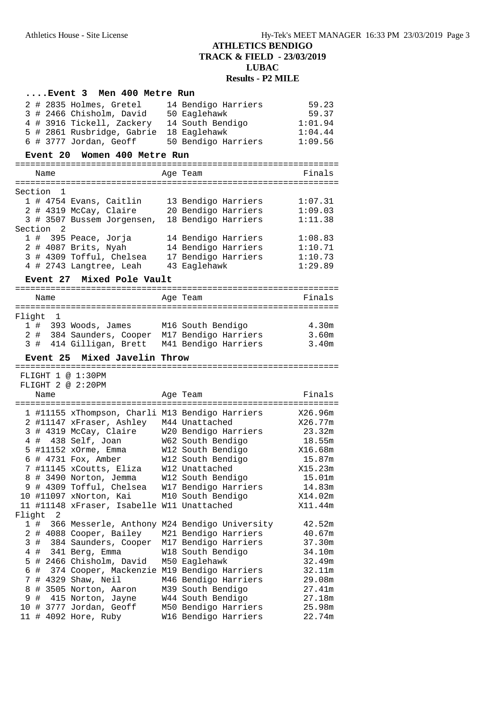#### **....Event 3 Men 400 Metre Run** 2 # 2835 Holmes, Gretel 14 Bendigo Harriers 59.23 3 # 2466 Chisholm, David 50 Eaglehawk 59.37 4 # 3916 Tickell, Zackery 14 South Bendigo 1:01.94 5 # 2861 Rusbridge, Gabrie 18 Eaglehawk 1:04.44 6 # 3777 Jordan, Geoff 50 Bendigo Harriers 1:09.56 **Event 20 Women 400 Metre Run** ================================================================ Name **Age Team** Age Team Finals ================================================================ Section 1 1 # 4754 Evans, Caitlin 13 Bendigo Harriers 1:07.31 2 # 4319 McCay, Claire 20 Bendigo Harriers 1:09.03 3 # 3507 Bussem Jorgensen, 18 Bendigo Harriers 1:11.38 Section 2 1 # 395 Peace, Jorja 14 Bendigo Harriers 1:08.83 2 # 4087 Brits, Nyah 14 Bendigo Harriers 1:10.71 3 # 4309 Tofful, Chelsea 17 Bendigo Harriers 1:10.73 4 # 2743 Langtree, Leah 43 Eaglehawk 1:29.89 **Event 27 Mixed Pole Vault** ================================================================ Name **Age Team Age Team** Finals ================================================================ Flight 1 1 # 393 Woods, James M16 South Bendigo 4.30m 2 # 384 Saunders, Cooper M17 Bendigo Harriers 3.60m 3 # 414 Gilligan, Brett M41 Bendigo Harriers 3.40m **Event 25 Mixed Javelin Throw** ================================================================ FLIGHT 1 @ 1:30PM FLIGHT 2 @ 2:20PM Name Age Team Age Team Finals ================================================================ 1 #11155 xThompson, Charli M13 Bendigo Harriers X26.96m 2 #11147 xFraser, Ashley M44 Unattached X26.77m 3 # 4319 McCay, Claire W20 Bendigo Harriers 23.32m 4 # 438 Self, Joan W62 South Bendigo 18.55m 5 #11152 xOrme, Emma W12 South Bendigo X16.68m 6 # 4731 Fox, Amber W12 South Bendigo 15.87m 7 #11145 xCoutts, Eliza W12 Unattached X15.23m 8 # 3490 Norton, Jemma W12 South Bendigo 15.01m 9 # 4309 Tofful, Chelsea W17 Bendigo Harriers 14.83m 10 #11097 xNorton, Kai M10 South Bendigo X14.02m 11 #11148 xFraser, Isabelle W11 Unattached X11.44m Flight 2 1 # 366 Messerle, Anthony M24 Bendigo University 42.52m 2 # 4088 Cooper, Bailey M21 Bendigo Harriers 40.67m 3 # 384 Saunders, Cooper M17 Bendigo Harriers 37.30m 4 # 341 Berg, Emma W18 South Bendigo 34.10m 5 # 2466 Chisholm, David M50 Eaglehawk 32.49m 6 # 374 Cooper, Mackenzie M19 Bendigo Harriers 32.11m 7 # 4329 Shaw, Neil M46 Bendigo Harriers 29.08m 8 # 3505 Norton, Aaron M39 South Bendigo 27.41m 9 # 415 Norton, Jayne W44 South Bendigo 27.18m 10 # 3777 Jordan, Geoff M50 Bendigo Harriers 25.98m

11 # 4092 Hore, Ruby W16 Bendigo Harriers 22.74m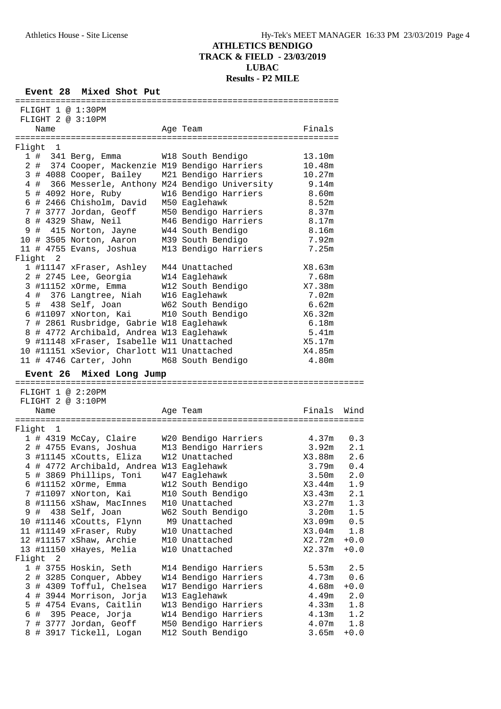**Event 28 Mixed Shot Put**

| FLIGHT 1 @ 1:30PM                                                               |                                              |                   |            |
|---------------------------------------------------------------------------------|----------------------------------------------|-------------------|------------|
| FLIGHT 2 @ 3:10PM<br>Name                                                       | Age Team                                     | Finals            |            |
| Flight 1                                                                        |                                              |                   |            |
| 1 # 341 Berg, Emma W18 South Bendigo                                            |                                              | 13.10m            |            |
| 2 # 374 Cooper, Mackenzie M19 Bendigo Harriers                                  |                                              | 10.48m            |            |
| 3 # 4088 Cooper, Bailey M21 Bendigo Harriers                                    |                                              | 10.27m            |            |
| 4 # 366 Messerle, Anthony M24 Bendigo University                                |                                              | 9.14m             |            |
|                                                                                 |                                              | 8.60m             |            |
|                                                                                 |                                              | 8.52m             |            |
|                                                                                 |                                              | 8.37m             |            |
| 8 # 4329 Shaw, Neil                                                             | M46 Bendigo Harriers 8.17m                   |                   |            |
| 9 # 415 Norton, Jayne                                                           | W44 South Bendigo                            | 8.16m             |            |
| 10 # 3505 Norton, Aaron M39 South Bendigo                                       |                                              | 7.92m             |            |
|                                                                                 | M13 Bendigo Harriers                         | 7.25m             |            |
| Flight 2                                                                        |                                              |                   |            |
| 1 #11147 xFraser, Ashley M44 Unattached<br>2 # 2745 Lee, Georgia W14 Eaglehawk  |                                              | X8.63m            |            |
| 3 #11152 xOrme, Emma W12 South Bendigo                                          |                                              | 7.68m             |            |
|                                                                                 |                                              | X7.38m<br>7.02m   |            |
| 4 # 376 Langtree, Niah W16 Eaglehawk                                            |                                              |                   |            |
| 5 # 438 Self, Joan W62 South Bendigo<br>6 #11097 xNorton, Kai M10 South Bendigo |                                              | 6.62m<br>X6.32m   |            |
| 7 # 2861 Rusbridge, Gabrie W18 Eaglehawk                                        |                                              | 6.18m             |            |
| 8 # 4772 Archibald, Andrea W13 Eaglehawk                                        |                                              | 5.41m             |            |
| 9 #11148 xFraser, Isabelle W11 Unattached                                       |                                              | X5.17m            |            |
| 10 #11151 xSevior, Charlott W11 Unattached                                      |                                              | X4.85m            |            |
| 11 # 4746 Carter, John M68 South Bendigo                                        |                                              | 4.80m             |            |
| Event 26 Mixed Long Jump                                                        |                                              |                   |            |
|                                                                                 |                                              |                   |            |
| FLIGHT 1 @ 2:20PM                                                               |                                              |                   |            |
| FLIGHT 2 @ 3:10PM                                                               |                                              | Finals Wind       |            |
| Name                                                                            | Age Team                                     |                   |            |
| Flight 1                                                                        |                                              |                   |            |
| 1 # 4319 McCay, Claire W20 Bendigo Harriers 4.37m                               |                                              |                   | 0.3        |
| 2 # 4755 Evans, Joshua M13 Bendigo Harriers 3.92m                               |                                              |                   | 2.1        |
| 3 #11145 xCoutts, Eliza W12 Unattached                                          |                                              | X3.88m            | 2.6        |
| 4 # 4772 Archibald, Andrea W13 Eaglehawk                                        |                                              | 3.79m             | 0.4        |
| 5 # 3869 Phillips, Toni W47 Eaglehawk                                           |                                              | 3.50m             | 2.0        |
| 6 #11152 xOrme, Emma                                                            | W12 South Bendigo                            | X3.44m            | 1.9        |
| 7 #11097 xNorton, Kai                                                           | M10 South Bendigo                            | X3.43m            | 2.1        |
| 8 #11156 xShaw, MacInnes                                                        | M10 Unattached                               | X3.27m            | 1.3        |
| 438 Self, Joan<br>9#                                                            | W62 South Bendigo                            | 3.20 <sub>m</sub> | 1.5        |
| 10 #11146 xCoutts, Flynn                                                        | M9 Unattached                                | X3.09m            | 0.5        |
| 11 #11149 xFraser, Ruby                                                         | W10 Unattached                               | X3.04m            | 1.8        |
| 12 #11157 xShaw, Archie                                                         | M10 Unattached                               | X2.72m            | $+0.0$     |
| 13 #11150 xHayes, Melia                                                         | W10 Unattached                               | X2.37m            | $+0.0$     |
| Flight<br>2                                                                     |                                              |                   |            |
| 1 # 3755 Hoskin, Seth                                                           | M14 Bendigo Harriers                         | 5.53m             | 2.5        |
| 2 # 3285 Conquer, Abbey                                                         | W14 Bendigo Harriers                         | 4.73m             | 0.6        |
| 3 # 4309 Tofful, Chelsea                                                        | W17 Bendigo Harriers                         | 4.68m             | $+0.0$     |
| 4 # 3944 Morrison, Jorja<br>5 # 4754 Evans, Caitlin                             | W13 Eaglehawk                                | 4.49m<br>4.33m    | 2.0        |
| 6 # 395 Peace, Jorja                                                            | W13 Bendigo Harriers<br>W14 Bendigo Harriers | 4.13m             | 1.8<br>1.2 |
| 7 # 3777 Jordan, Geoff                                                          | M50 Bendigo Harriers                         | 4.07m             | 1.8        |
| 8 # 3917 Tickell, Logan                                                         | M12 South Bendigo                            | 3.65m             | $+0.0$     |
|                                                                                 |                                              |                   |            |